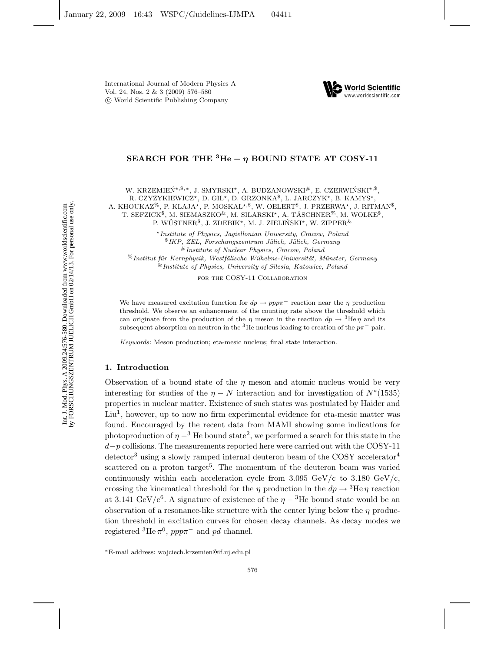

## **SEARCH FOR THE**  ${}^{3}$ **He**  $-$  *n* **BOUND STATE AT COSY-11**

W. KRZEMIEŃ\*, \$,\*, J. SMYRSKI\*, A. BUDZANOWSKI<sup>#</sup>, E. CZERWIŃSKI<sup>\*, \$</sup>, R. CZYŻYKIEWICZ\*, D. GIL\*, D. GRZONKA<sup>\$</sup>, L. JARCZYK\*, B. KAMYS\*, A. KHOUKAZ<sup>%</sup>, P. KLAJA\*, P. MOSKAL\*<sup>,\$</sup>, W. OELERT<sup>\$</sup>, J. PRZERWA\*, J. RITMAN<sup>\$</sup>, T. SEFZICK<sup>\$</sup>, M. SIEMASZKO<sup>&</sup>, M. SILARSKI<sup>\*</sup>, A. TÄSCHNER<sup>%</sup>, M. WOLKE<sup>\$</sup>, P. WÜSTNER<sup>§</sup>, J. ZDEBIK<sup>\*</sup>, M. J. ZIELIŃSKI<sup>\*</sup>, W. ZIPPER<sup>&</sup>

*Institute of Physics, Jagiellonian University, Cracow, Poland* \$*IKP, ZEL, Forschungszentrum J¨ulich, J¨ulich, Germany* #*Institute of Nuclear Physics, Cracow, Poland* %*Institut f¨ur Kernphysik, Westf¨alische Wilhelms-Universit¨at, M¨unster, Germany* &*Institute of Physics, University of Silesia, Katowice, Poland*

FOR THE COSY-11 COLLABORATION

We have measured excitation function for  $dp \to ppp\pi^-$  reaction near the  $\eta$  production threshold. We observe an enhancement of the counting rate above the threshold which can originate from the production of the  $\eta$  meson in the reaction  $dp \rightarrow {}^{3}He \eta$  and its subsequent absorption on neutron in the <sup>3</sup>He nucleus leading to creation of the  $p\pi^-$  pair.

*Keywords*: Meson production; eta-mesic nucleus; final state interaction.

#### **1. Introduction**

Observation of a bound state of the  $\eta$  meson and atomic nucleus would be very interesting for studies of the  $\eta$  – N interaction and for investigation of  $N^*(1535)$ properties in nuclear matter. Existence of such states was postulated by Haider and  $Liu<sup>1</sup>$ , however, up to now no firm experimental evidence for eta-mesic matter was found. Encouraged by the recent data from MAMI showing some indications for photoproduction of  $\eta$  –<sup>3</sup> He bound state<sup>2</sup>, we performed a search for this state in the  $d-p$  collisions. The measurements reported here were carried out with the COSY-11  $\rm{detector}^3$  using a slowly ramped internal deuteron beam of the COSY accelerator<sup>4</sup> scattered on a proton target<sup>5</sup>. The momentum of the deuteron beam was varied continuously within each acceleration cycle from  $3.095 \text{ GeV/c}$  to  $3.180 \text{ GeV/c}$ , crossing the kinematical threshold for the  $\eta$  production in the  $dp \rightarrow {}^{3}$ He $\eta$  reaction at 3.141 GeV/c<sup>6</sup>. A signature of existence of the  $\eta - 3$ He bound state would be an observation of a resonance-like structure with the center lying below the  $\eta$  production threshold in excitation curves for chosen decay channels. As decay modes we registered <sup>3</sup>He  $\pi^0$ ,  $ppp\pi^-$  and pd channel.

<sup>∗</sup>E-mail address: wojciech.krzemien@if.uj.edu.pl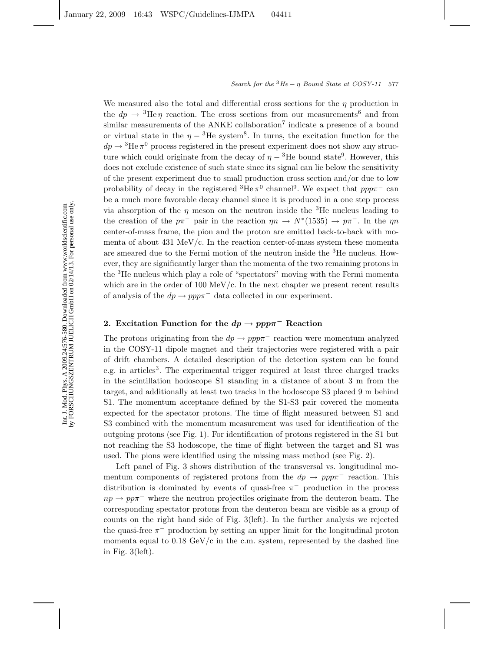We measured also the total and differential cross sections for the  $\eta$  production in the  $dp \rightarrow {}^{3}He \eta$  reaction. The cross sections from our measurements<sup>6</sup> and from similar measurements of the ANKE collaboration<sup>7</sup> indicate a presence of a bound or virtual state in the  $\eta - 3$ He system<sup>8</sup>. In turns, the excitation function for the  $dp \rightarrow {}^{3}\text{He} \pi^0$  process registered in the present experiment does not show any structure which could originate from the decay of  $\eta - 3$ He bound state<sup>9</sup>. However, this does not exclude existence of such state since its signal can lie below the sensitivity of the present experiment due to small production cross section and/or due to low probability of decay in the registered  ${}^{3}$ He  $\pi$ <sup>0</sup> channel<sup>9</sup>. We expect that *ppp* $\pi$ <sup>-</sup> can be a much more favorable decay channel since it is produced in a one step process via absorption of the  $\eta$  meson on the neutron inside the <sup>3</sup>He nucleus leading to the creation of the  $p\pi^-$  pair in the reaction  $\eta n \to N^*(1535) \to p\pi^-$ . In the  $\eta n$ center-of-mass frame, the pion and the proton are emitted back-to-back with momenta of about  $431 \text{ MeV/c}$ . In the reaction center-of-mass system these momenta are smeared due to the Fermi motion of the neutron inside the <sup>3</sup>He nucleus. However, they are significantly larger than the momenta of the two remaining protons in the <sup>3</sup>He nucleus which play a role of "spectators" moving with the Fermi momenta which are in the order of 100 MeV/c. In the next chapter we present recent results of analysis of the  $dp \to ppp\pi^-$  data collected in our experiment.

# 2. Excitation Function for the  $dp \rightarrow ppp\pi$ <sup>-</sup> Reaction

The protons originating from the  $dp \to ppp\pi^-$  reaction were momentum analyzed in the COSY-11 dipole magnet and their trajectories were registered with a pair of drift chambers. A detailed description of the detection system can be found e.g. in articles<sup>3</sup>. The experimental trigger required at least three charged tracks in the scintillation hodoscope S1 standing in a distance of about 3 m from the target, and additionally at least two tracks in the hodoscope S3 placed 9 m behind S1. The momentum acceptance defined by the S1-S3 pair covered the momenta expected for the spectator protons. The time of flight measured between S1 and S3 combined with the momentum measurement was used for identification of the outgoing protons (see Fig. 1). For identification of protons registered in the S1 but not reaching the S3 hodoscope, the time of flight between the target and S1 was used. The pions were identified using the missing mass method (see Fig. 2).

Left panel of Fig. 3 shows distribution of the transversal vs. longitudinal momentum components of registered protons from the  $dp \to ppp\pi^-$  reaction. This distribution is dominated by events of quasi-free  $\pi^-$  production in the process  $np \to pp\pi^-$  where the neutron projectiles originate from the deuteron beam. The corresponding spectator protons from the deuteron beam are visible as a group of counts on the right hand side of Fig. 3(left). In the further analysis we rejected the quasi-free  $\pi^-$  production by setting an upper limit for the longitudinal proton momenta equal to  $0.18 \text{ GeV}/c$  in the c.m. system, represented by the dashed line in Fig. 3(left).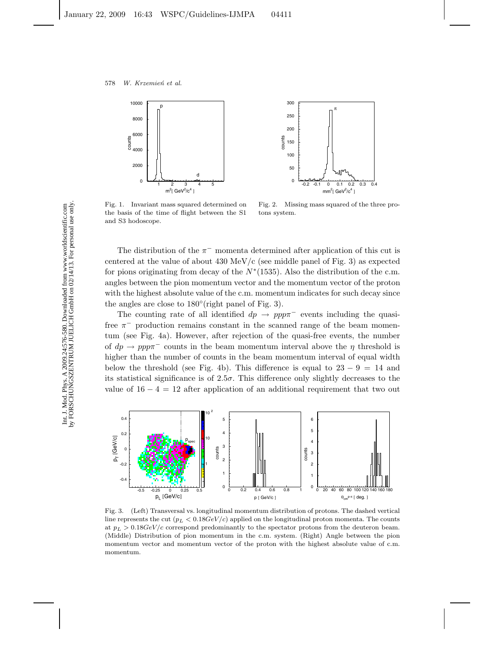



Fig. 1. Invariant mass squared determined on the basis of the time of flight between the S1 and S3 hodoscope.

Fig. 2. Missing mass squared of the three protons system.

The distribution of the  $\pi^-$  momenta determined after application of this cut is centered at the value of about  $430 \text{ MeV/c}$  (see middle panel of Fig. 3) as expected for pions originating from decay of the  $N*(1535)$ . Also the distribution of the c.m. angles between the pion momentum vector and the momentum vector of the proton with the highest absolute value of the c.m. momentum indicates for such decay since the angles are close to  $180^\circ$  (right panel of Fig. 3).

The counting rate of all identified  $dp \rightarrow ppp\pi^-$  events including the quasifree  $\pi^-$  production remains constant in the scanned range of the beam momentum (see Fig. 4a). However, after rejection of the quasi-free events, the number of  $dp \rightarrow ppp\pi^-$  counts in the beam momentum interval above the  $\eta$  threshold is higher than the number of counts in the beam momentum interval of equal width below the threshold (see Fig. 4b). This difference is equal to  $23 - 9 = 14$  and its statistical significance is of  $2.5\sigma$ . This difference only slightly decreases to the value of  $16 - 4 = 12$  after application of an additional requirement that two out



Fig. 3. (Left) Transversal vs. longitudinal momentum distribution of protons. The dashed vertical line represents the cut  $(p_L < 0.18 GeV/c)$  applied on the longitudinal proton momenta. The counts at  $p_L > 0.18 GeV/c$  correspond predominantly to the spectator protons from the deuteron beam. (Middle) Distribution of pion momentum in the c.m. system. (Right) Angle between the pion momentum vector and momentum vector of the proton with the highest absolute value of c.m. momentum.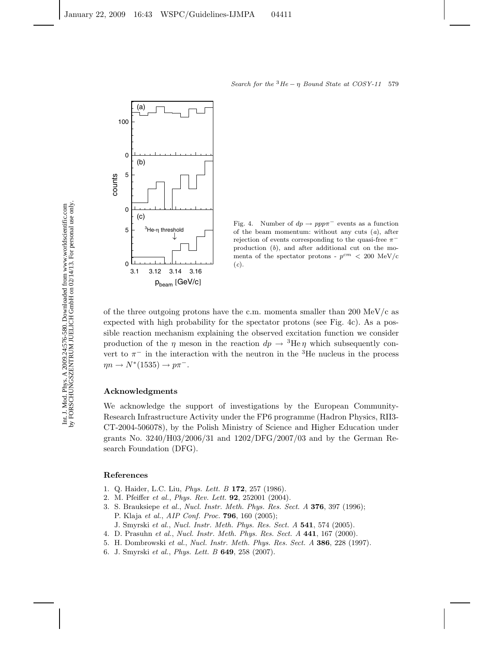

Fig. 4. Number of  $dp \to ppp\pi^-$  events as a function of the beam momentum: without any cuts (*a*), after rejection of events corresponding to the quasi-free  $\pi$ production (*b*), and after additional cut on the momenta of the spectator protons -  $p^{cm}$  < 200 MeV/c (*c*).

of the three outgoing protons have the c.m. momenta smaller than 200 MeV/c as expected with high probability for the spectator protons (see Fig. 4c). As a possible reaction mechanism explaining the observed excitation function we consider production of the  $\eta$  meson in the reaction  $dp \to {}^{3}\text{He}\,\eta$  which subsequently convert to  $\pi^-$  in the interaction with the neutron in the <sup>3</sup>He nucleus in the process  $\eta n \to N^*(1535) \to p\pi^-$ .

### **Acknowledgments**

We acknowledge the support of investigations by the European Community-Research Infrastructure Activity under the FP6 programme (Hadron Physics, RII3- CT-2004-506078), by the Polish Ministry of Science and Higher Education under grants No. 3240/H03/2006/31 and 1202/DFG/2007/03 and by the German Research Foundation (DFG).

### **References**

- 1. Q. Haider, L.C. Liu, *Phys. Lett. B* **172**, 257 (1986).
- 2. M. Pfeiffer *et al.*, *Phys. Rev. Lett.* **92**, 252001 (2004).
- 3. S. Brauksiepe *et al.*, *Nucl. Instr. Meth. Phys. Res. Sect. A* **376**, 397 (1996); P. Klaja *et al.*, *AIP Conf. Proc.* **796**, 160 (2005);
	- J. Smyrski *et al.*, *Nucl. Instr. Meth. Phys. Res. Sect. A* **541**, 574 (2005).
- 4. D. Prasuhn *et al.*, *Nucl. Instr. Meth. Phys. Res. Sect. A* **441**, 167 (2000).
- 5. H. Dombrowski *et al.*, *Nucl. Instr. Meth. Phys. Res. Sect. A* **386**, 228 (1997).
- 6. J. Smyrski *et al.*, *Phys. Lett. B* **649**, 258 (2007).